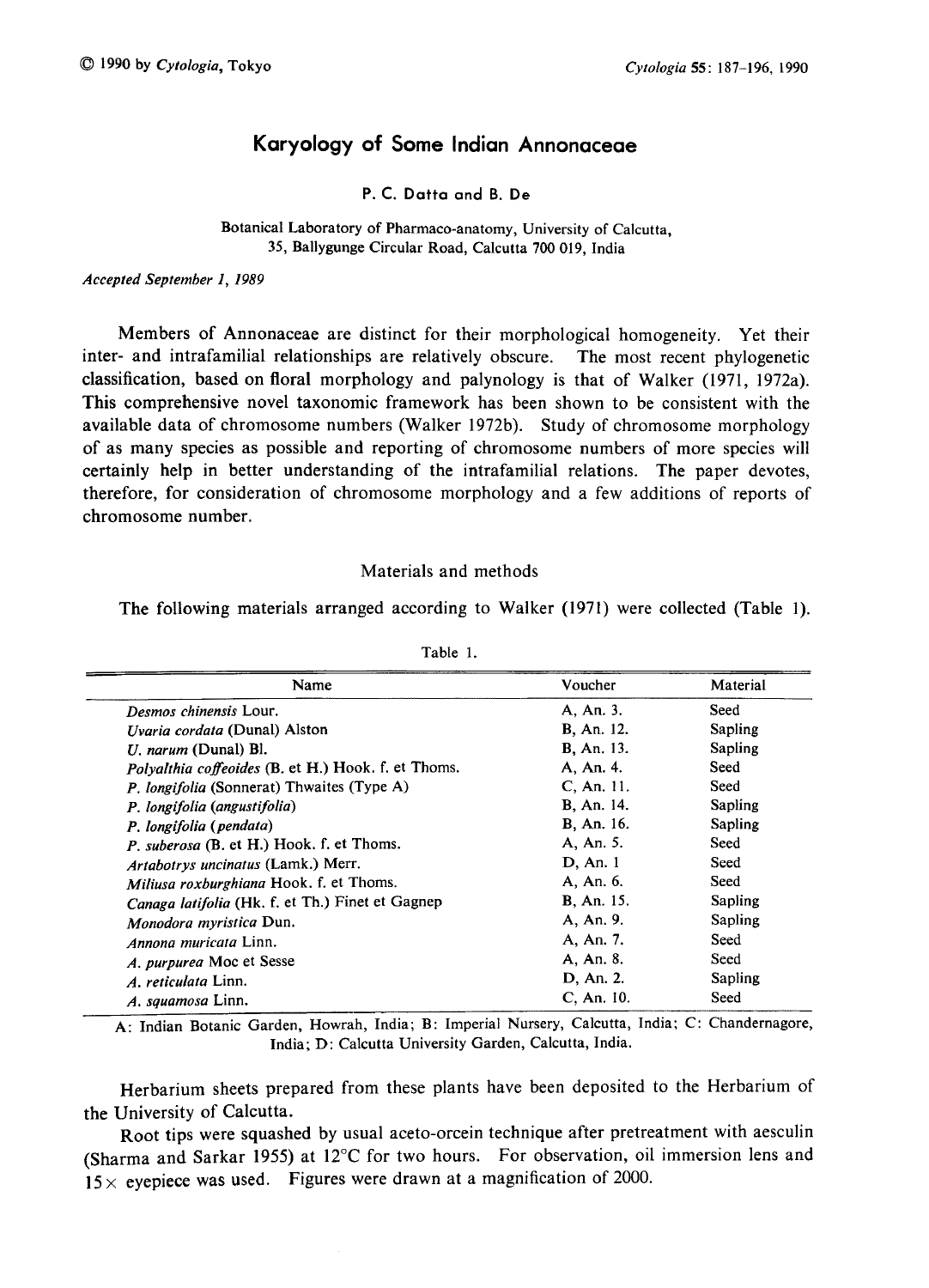# Karyology of Some Indian Annonaceae

# P. C. Datta and B. De

#### Botanical Laboratory of Pharmaco-anatomy, University of Calcutta, 35, Ballygunge Circular Road, Calcutta 700 019, India

Accepted September 1, 1989

Members of Annonaceae are distinct for their morphological homogeneity. Yet their inter- and intrafamilial relationships are relatively obscure. The most recent phylogenetic classification, based on floral morphology and palynology is that of Walker (1971, 1972a). This comprehensive novel taxonomic framework has been shown to be consistent with the available data of chromosome numbers (Walker 1972b). Study of chromosome morphology of as many species as possible and reporting of chromosome numbers of more species will certainly help in better understanding of the intrafamilial relations. The paper devotes, therefore, for consideration of chromosome morphology and a few additions of reports of chromosome number.

# Materials and methods

The following materials arranged according to Walker (1971) were collected (Table 1).

| Name                                                       | Voucher           | Material |
|------------------------------------------------------------|-------------------|----------|
| Desmos chinensis Lour.                                     | A. An. 3.         | Seed     |
| <i>Uvaria cordata</i> (Dunal) Alston                       | B. An. 12.        | Sapling  |
| $U$ . narum (Dunal) Bl.                                    | <b>B.</b> An. 13. | Sapling  |
| <i>Polvalthia coffeoides</i> (B. et H.) Hook. f. et Thoms. | A. An. 4.         | Seed     |
| P. longifolia (Sonnerat) Thwaites (Type A)                 | C. An. 11.        | Seed     |
| P. longifolia (angustifolia)                               | <b>B.</b> An. 14. | Sapling  |
| P. longifolia (pendata)                                    | B. An. 16.        | Sapling  |
| P. suberosa (B. et H.) Hook. f. et Thoms.                  | A, An. 5.         | Seed     |
| Artabotrys uncinatus (Lamk.) Merr.                         | D, An. 1          | Seed     |
| Miliusa roxburghiana Hook. f. et Thoms.                    | A, An. 6.         | Seed     |
| Canaga latifolia (Hk. f. et Th.) Finet et Gagnep           | <b>B.</b> An. 15. | Sapling  |
| <i>Monodora myristica Dun.</i>                             | A. An. 9.         | Sapling  |
| Annona muricata Linn.                                      | A. An. 7.         | Seed     |
| A. purpurea Moc et Sesse                                   | A, An. 8.         | Seed     |
| A. reticulata Linn.                                        | D, An. 2.         | Sapling  |
| A. squamosa Linn.                                          | $C.$ An. $10.$    | Seed     |

Table 1.

A: Indian Botanic Garden, Howrah, India; B: Imperial Nursery, Calcutta, India; C: Chandernagore, India; D: Calcutta University Garden, Calcutta, India.

Herbarium sheets prepared from these plants have been deposited to the Herbarium of the University of Calcutta.

Root tips were squashed by usual aceto-orcein technique after pretreatment with aesculin (Sharma and Sarkar 1955) at 12°C for two hours. For observation, oil immersion lens and  $15\times$  eyepiece was used. Figures were drawn at a magnification of 2000.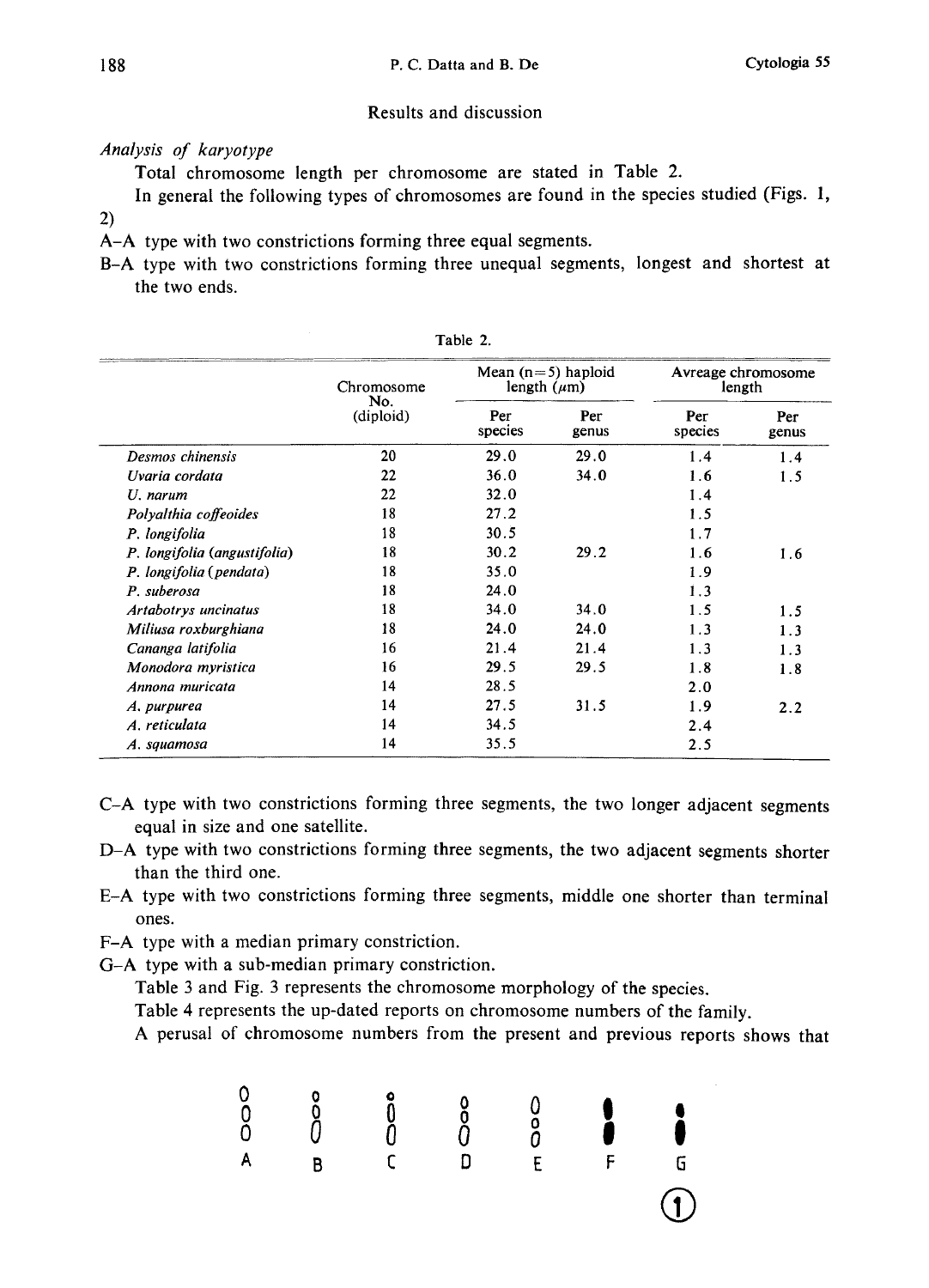# Results and discussion

# Analysis of karyotype

Total chromosome length per chromosome are stated in Table 2.

In general the following types of chromosomes are found in the species studied (Figs. 1, 2)

A-A type with two constrictions forming three equal segments.

B-A type with two constrictions forming three unequal segments, longest and shortest at the two ends.

|                              | Chromosome<br>No.<br>(diploid) | Mean $(n=5)$ haploid<br>length $(\mu m)$ |              | length         | Avreage chromosome |
|------------------------------|--------------------------------|------------------------------------------|--------------|----------------|--------------------|
|                              |                                | Per<br>species                           | Per<br>genus | Per<br>species | Per<br>genus       |
| Desmos chinensis             | 20                             | 29.0                                     | 29.0         | 1.4            | 1.4                |
| Uvaria cordata               | 22                             | 36.0                                     | 34.0         | 1.6            | 1.5                |
| U. narum                     | 22                             | 32.0                                     |              | 1.4            |                    |
| Polyalthia coffeoides        | 18                             | 27.2                                     |              | 1.5            |                    |
| P. longifolia                | 18                             | 30.5                                     |              | 1.7            |                    |
| P. longifolia (angustifolia) | 18                             | 30.2                                     | 29.2         | 1.6            | 1.6                |
| P. longifolia (pendata)      | 18                             | 35.0                                     |              | 1.9            |                    |
| P. suberosa                  | 18                             | 24.0                                     |              | 1.3            |                    |
| Artabotrys uncinatus         | 18                             | 34.0                                     | 34.0         | 1.5            | 1.5                |
| Miliusa roxburghiana         | 18                             | 24.0                                     | 24.0         | 1.3            | 1.3                |
| Cananga latifolia            | 16                             | 21.4                                     | 21.4         | 1.3            | 1.3                |
| Monodora myristica           | 16                             | 29.5                                     | 29.5         | 1.8            | 1.8                |
| Annona muricata              | 14                             | 28.5                                     |              | 2.0            |                    |
| A. purpurea                  | 14                             | 27.5                                     | 31.5         | 1.9            | 2.2                |
| A. reticulata                | 14                             | 34.5                                     |              | 2.4            |                    |
| A. squamosa                  | 14                             | 35.5                                     |              | 2.5            |                    |

Table 2.

- C-A type with two constrictions forming three segments, the two longer adjacent segments equal in size and one satellite.
- D-A type with two constrictions forming three segments, the two adjacent segments shorter than the third one.
- E-A type with two constrictions forming three segments, middle one shorter than terminal ones.
- F-A type with a median primary constriction.
- G-A type with a sub-median primary constriction.

Table 3 and Fig. 3 represents the chromosome morphology of the species.

Table 4 represents the up-dated reports on chromosome numbers of the family.

A perusal of chromosome numbers from the present and previous reports shows that

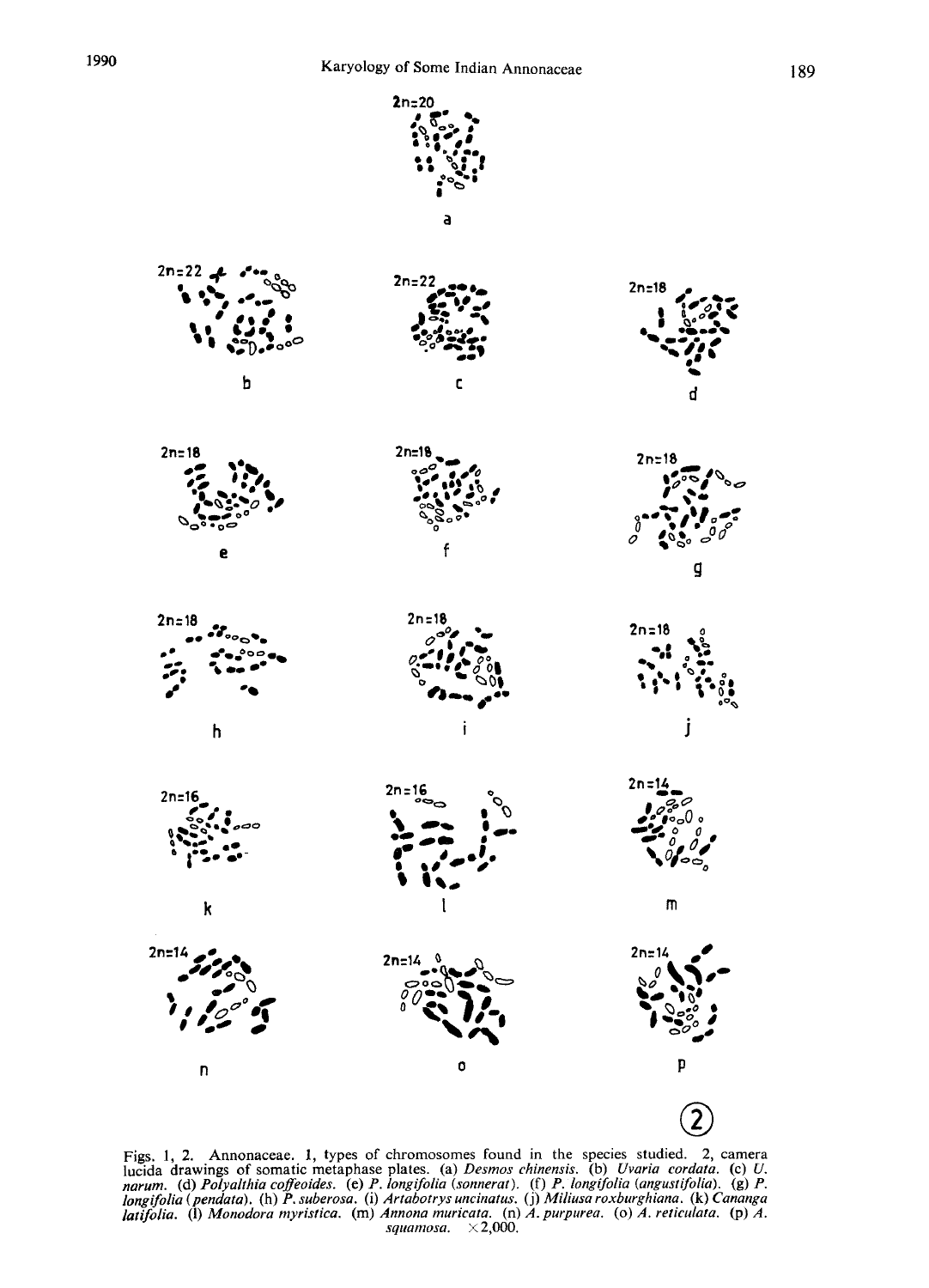

 $2n = 22$ 





h

 $\mathbf k$ 

D

 $2n = 18$ 

 $2n = 16$ 

 $2n=14$ 



 $2n =$ 

 $2n = 16$ 

 $2n = 14$ 

i

 $\mathbf c$ 













2

Figs. 1, 2. Annonaceae. 1, types of cifromosomes found in the species stituted. 2, canners<br>lucida drawings of somatic metaphase plates. (a) Desmos chinensis. (b) Uvaria cordata. (c) U<br>narum. (d) Polyalthia coffeoides. (e) longifolia (pendata). (h) P. suberosa. (i) Artabotrys uncinatus. (j) Miliusa roxburghiana. (k) Cananga latifolia. (1) Monodora myristica. (m) Annona muricata. (n) A. purpurea. (0) A. reticulata. (p) A. squamosa.  $\times 2,000$ .

O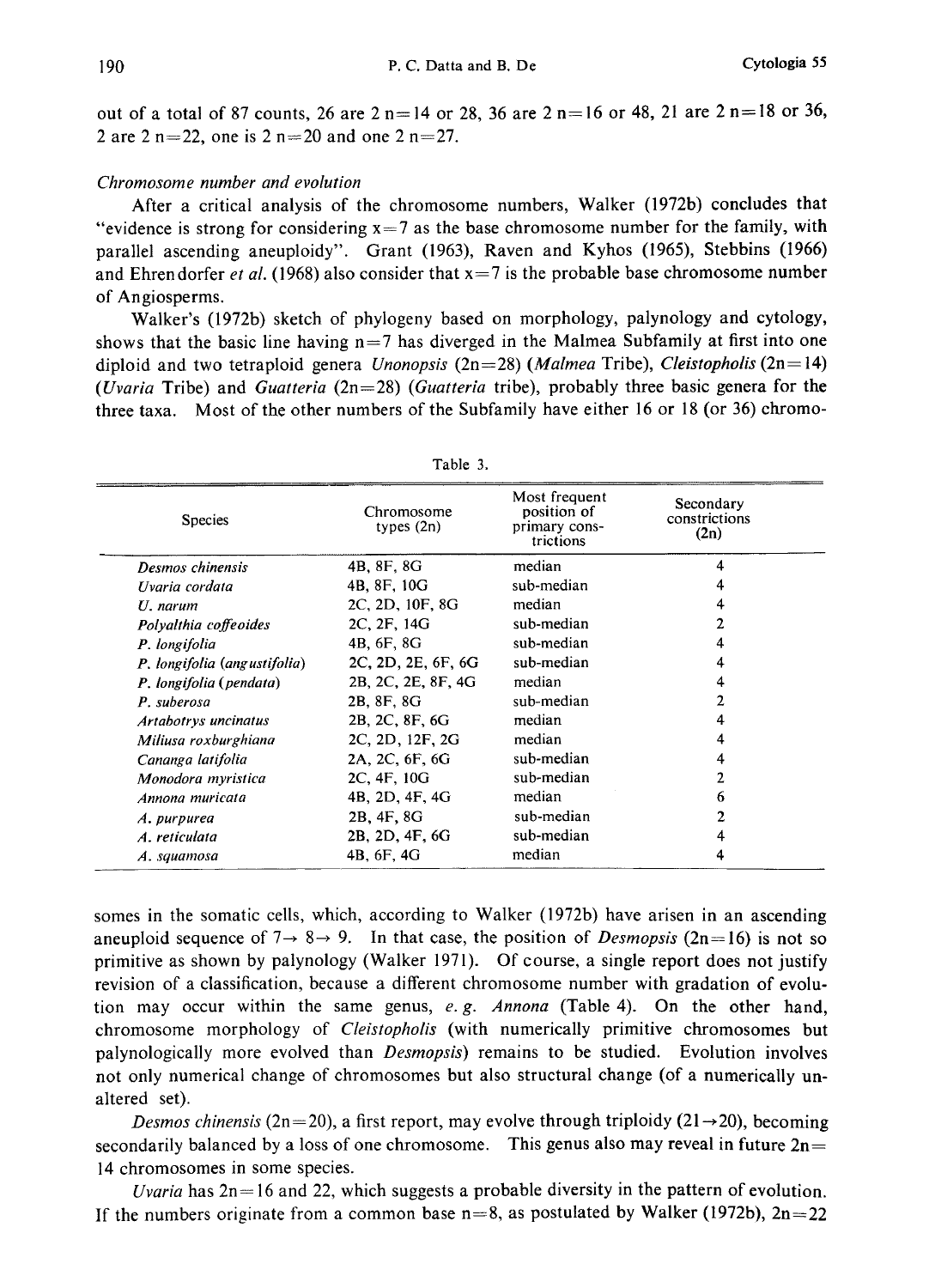out of a total of 87 counts, 26 are  $2 n=14$  or 28, 36 are  $2 n=16$  or 48, 21 are  $2 n=18$  or 36, 2 are 2 n=22, one is  $2 n=20$  and one  $2 n=27$ .

### Chromosome number and evolution

After a critical analysis of the chromosome numbers, Walker (1972b) concludes that "evidence is strong for considering  $x = 7$  as the base chromosome number for the family, with parallel ascending aneuploidy". Grant (1963), Raven and Kyhos (1965), Stebbins (1966) and Ehrendorfer et al. (1968) also consider that  $x=7$  is the probable base chromosome number of Angiosperms.

Walker's (1972b) sketch of phylogeny based on morphology, palynology and cytology, shows that the basic line having  $n=7$  has diverged in the Malmea Subfamily at first into one diploid and two tetraploid genera *Unonopsis* (2n=28) (*Malmea* Tribe), *Cleistopholis* (2n=14) (Uvaria Tribe) and Guatteria  $(2n=28)$  (Guatteria tribe), probably three basic genera for the three taxa. Most of the other numbers of the Subfamily have either 16 or 18 (or 36) chromo

| <b>Species</b>               | Chromosome<br>types $(2n)$ | Most frequent<br>position of<br>primary cons-<br>trictions | Secondary<br>constrictions<br>(2n) |
|------------------------------|----------------------------|------------------------------------------------------------|------------------------------------|
| Desmos chinensis             | 4B, 8F, 8G                 | median                                                     | 4                                  |
| Uvaria cordata               | 4B, 8F, 10G                | sub-median                                                 |                                    |
| $U$ . narum                  | 2C, 2D, 10F, 8G            | median                                                     |                                    |
| Polyalthia coffeoides        | 2C, 2F, 14G                | sub-median                                                 |                                    |
| P. longifolia                | 4B, 6F, 8G                 | sub-median                                                 |                                    |
| P. longifolia (angustifolia) | 2C, 2D, 2E, 6F, 6G         | sub-median                                                 |                                    |
| P. longifolia (pendata)      | 2B, 2C, 2E, 8F, 4G         | median                                                     |                                    |
| P. suberosa                  | 2B, 8F, 8G                 | sub-median                                                 |                                    |
| Artabotrys uncinatus         | 2B, 2C, 8F, 6G             | median                                                     |                                    |
| Miliusa roxburghiana         | 2C, 2D, 12F, 2G            | median                                                     | 4                                  |
| Cananga latifolia            | 2A, 2C, 6F, 6G             | sub-median                                                 |                                    |
| Monodora myristica           | 2C, 4F, 10G                | sub-median                                                 |                                    |
| Annona muricata              | 4B, 2D, 4F, 4G             | median                                                     | 6                                  |
| A. purpurea                  | 2B, 4F, 8G                 | sub-median                                                 |                                    |
| A. reticulata                | 2B, 2D, 4F, 6G             | sub-median                                                 | 4                                  |
| A. squamosa                  | 4B, 6F, 4G                 | median                                                     |                                    |

Table 3.

somes in the somatic cells, which, according to Walker (1972b) have arisen in an ascending aneuploid sequence of  $7 \rightarrow 8 \rightarrow 9$ . In that case, the position of *Desmopsis* (2n=16) is not so primitive as shown by palynology (Walker 1971). Of course, a single report does not justify revision of a classification, because a different chromosome number with gradation of evolu tion may occur within the same genus,  $e, g$ . Annona (Table 4). On the other hand, chromosome morphology of Cleistopholis (with numerically primitive chromosomes but palynologically more evolved than Desmopsis) remains to be studied. Evolution involves not only numerical change of chromosomes but also structural change (of a numerically un altered set).

Desmos chinensis (2n=20), a first report, may evolve through triploidy (21 $\rightarrow$ 20), becoming secondarily balanced by a loss of one chromosome. This genus also may reveal in future  $2n=$ 14 chromosomes in some species.

Uvaria has  $2n=16$  and 22, which suggests a probable diversity in the pattern of evolution. If the numbers originate from a common base  $n=8$ , as postulated by Walker (1972b),  $2n=22$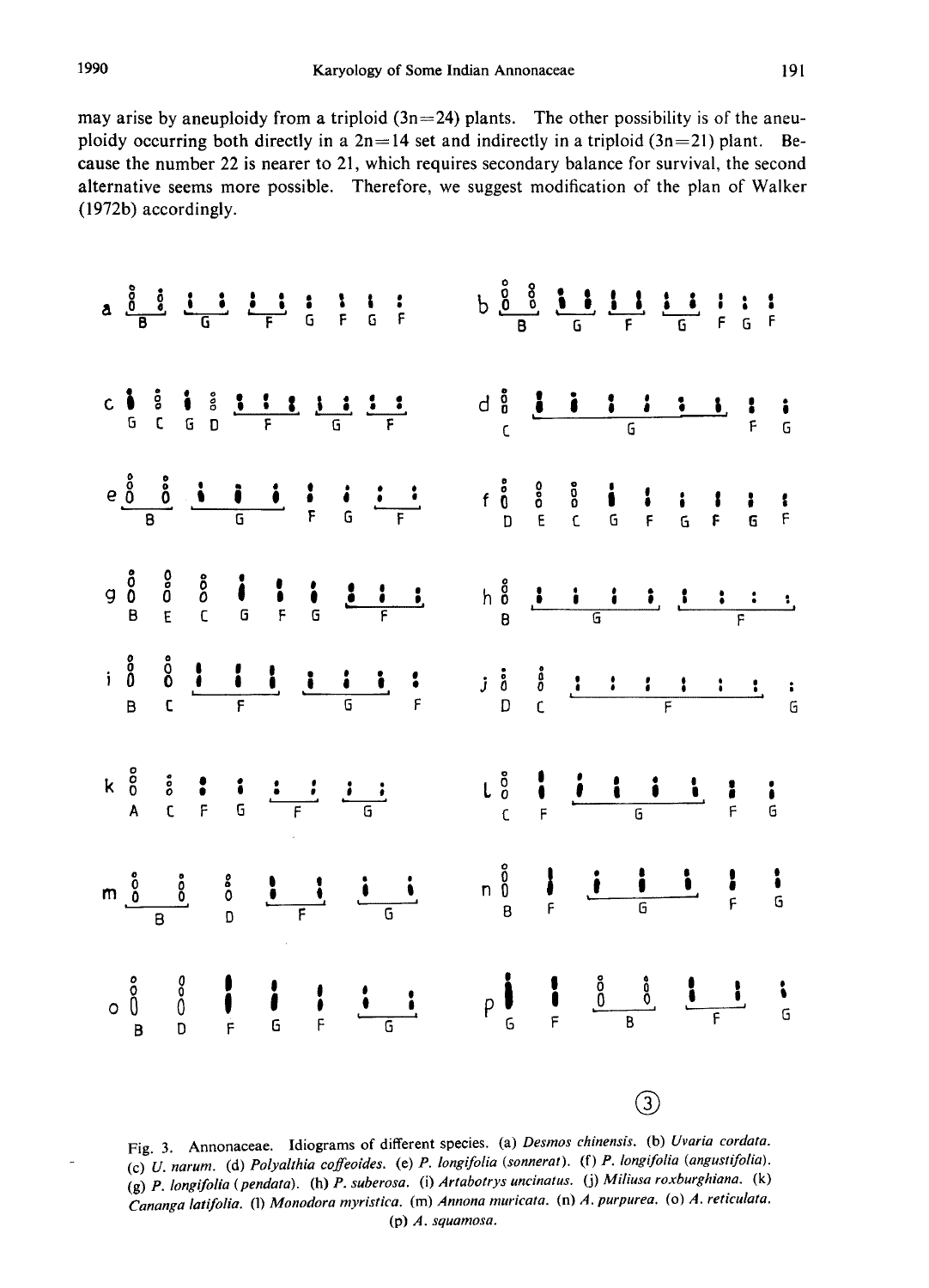may arise by aneuploidy from a triploid  $(3n=24)$  plants. The other possibility is of the aneuploidy occurring both directly in a  $2n=14$  set and indirectly in a triploid  $(3n=21)$  plant. Because the number 22 is nearer to 21, which requires secondary balance for survival, the second alternative seems more possible. Therefore, we suggest modification of the plan of Walker (1972b) accordingly.



Fig. 3. Annonaceae. Idiograms of different species. (a) Desmos chinensis. (b) Uvaria cordata. (c) U. narum. (d) Polyalthia coffeoides. (e) P. longifolia (sonnerat). (f) P. longifolia (angustifolia). (g) P. longifolia (pendata). (h) P. suberosa. (i) Artabotrys uncinatus. (j) Miliusa roxburghiana. (k) Cananga latifolia. (l) Monodora myristica. (m) Annona muricata. (n) A. purpurea. (o) A. reticulata. (p) A. squamosa.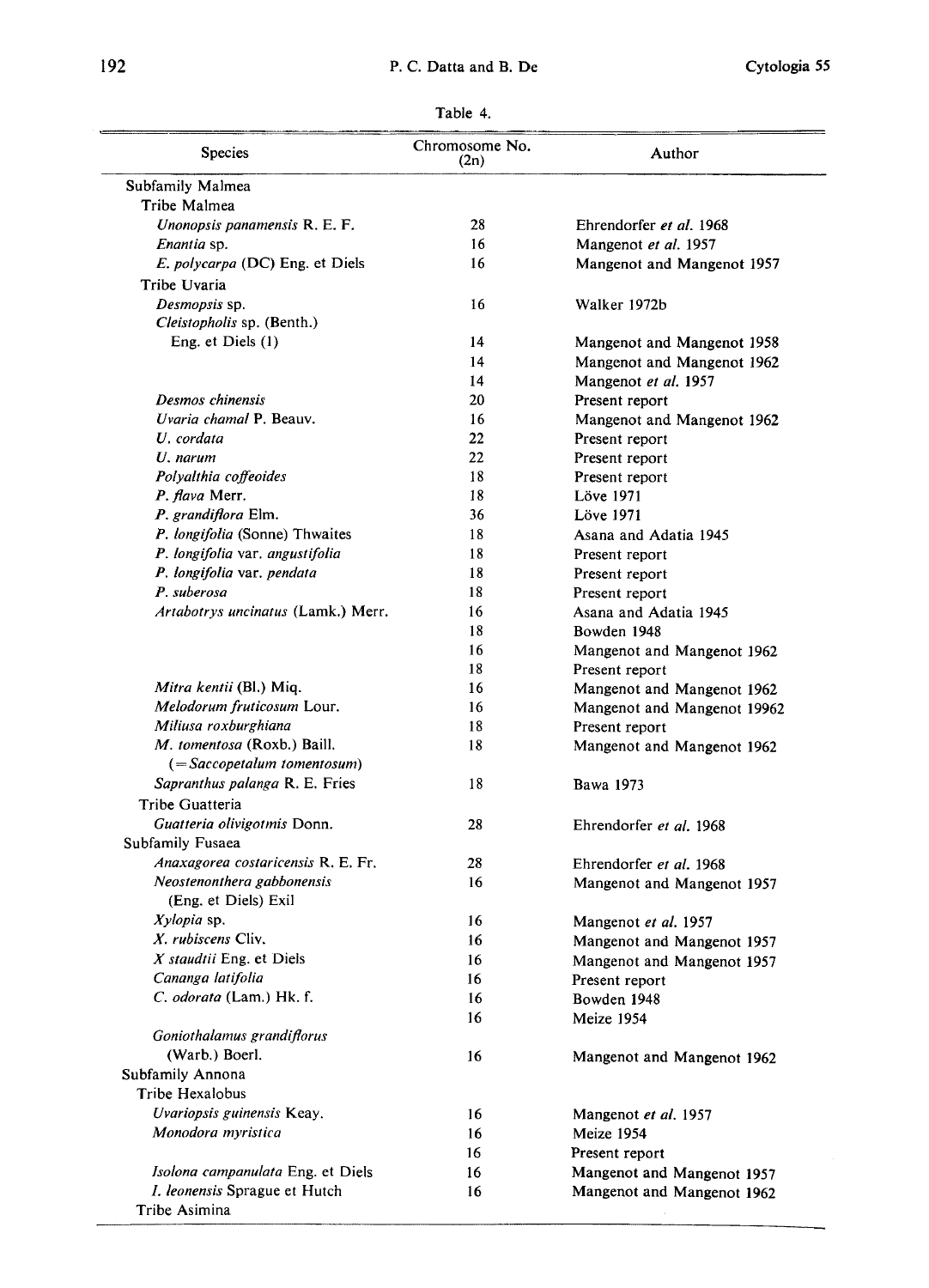# 192 P. C. Datta and B. De Cytologia 55

| Table |  |  |
|-------|--|--|
|       |  |  |

| <b>Species</b>                                                     | Chromosome No.<br>(2n) | Author                                                   |
|--------------------------------------------------------------------|------------------------|----------------------------------------------------------|
| Subfamily Malmea                                                   |                        |                                                          |
| Tribe Malmea                                                       |                        |                                                          |
| Unonopsis panamensis R. E. F.                                      | 28                     | Ehrendorfer et al. 1968                                  |
| Enantia sp.                                                        | 16                     | Mangenot et al. 1957                                     |
| <i>E. polycarpa</i> (DC) Eng. et Diels                             | 16                     | Mangenot and Mangenot 1957                               |
| Tribe Uvaria                                                       |                        |                                                          |
| Desmopsis sp.                                                      | 16                     | Walker 1972b                                             |
| Cleistopholis sp. (Benth.)                                         |                        |                                                          |
| Eng. et Diels (1)                                                  | 14                     | Mangenot and Mangenot 1958                               |
|                                                                    | 14                     | Mangenot and Mangenot 1962                               |
|                                                                    | 14                     | Mangenot et al. 1957                                     |
| Desmos chinensis                                                   | 20                     | Present report                                           |
| Uvaria chamal P. Beauv.                                            | 16                     | Mangenot and Mangenot 1962                               |
| U. cordata                                                         | 22                     | Present report                                           |
| U. narum                                                           | 22                     |                                                          |
| Polyalthia coffeoides                                              | 18                     | Present report                                           |
|                                                                    | 18                     | Present report                                           |
| P. flava Merr.<br>P. grandiflora Elm.                              |                        | Löve 1971                                                |
|                                                                    | 36                     | Löve 1971                                                |
| P. longifolia (Sonne) Thwaites                                     | 18                     | Asana and Adatia 1945                                    |
| P. longifolia var. angustifolia                                    | 18                     | Present report                                           |
| P. longifolia var. pendata                                         | 18                     | Present report                                           |
| P. suberosa                                                        | 18                     | Present report                                           |
| Artabotrys uncinatus (Lamk.) Merr.                                 | 16                     | Asana and Adatia 1945                                    |
|                                                                    | 18                     | Bowden 1948                                              |
|                                                                    | 16                     | Mangenot and Mangenot 1962                               |
|                                                                    | 18                     | Present report                                           |
| <i>Mitra kentii</i> (Bl.) Miq.                                     | 16                     | Mangenot and Mangenot 1962                               |
| Melodorum fruticosum Lour.                                         | 16                     | Mangenot and Mangenot 19962                              |
| Miliusa roxburghiana                                               | 18                     | Present report                                           |
| M. tomentosa (Roxb.) Baill.                                        | 18                     | Mangenot and Mangenot 1962                               |
| $( = Saccopetalum$ tomentosum)                                     |                        |                                                          |
| Sapranthus palanga R. E. Fries                                     | 18                     | Bawa 1973                                                |
| Tribe Guatteria                                                    |                        |                                                          |
| Guatteria olivigotmis Donn.                                        | 28                     | Ehrendorfer et al. 1968                                  |
| Subfamily Fusaea                                                   |                        |                                                          |
| Anaxagorea costaricensis R. E. Fr.                                 | 28                     | Ehrendorfer et al. 1968                                  |
| Neostenonthera gabbonensis                                         | 16                     | Mangenot and Mangenot 1957                               |
| (Eng. et Diels) Exil                                               |                        |                                                          |
| $Xylopia$ sp.                                                      | 16                     | Mangenot et al. 1957                                     |
| X. rubiscens Cliv.                                                 | 16                     | Mangenot and Mangenot 1957                               |
| X staudtil Eng. et Diels                                           | 16                     |                                                          |
| Cananga latifolia                                                  | 16                     | Mangenot and Mangenot 1957                               |
| C. odorata (Lam.) Hk. f.                                           | 16                     | Present report                                           |
|                                                                    |                        | Bowden 1948                                              |
| Goniothalamus grandiflorus                                         | 16                     | Meize 1954                                               |
|                                                                    |                        |                                                          |
| (Warb.) Boerl.                                                     | 16                     | Mangenot and Mangenot 1962                               |
| Subfamily Annona                                                   |                        |                                                          |
| Tribe Hexalobus                                                    |                        |                                                          |
| Uvariopsis guinensis Keay.                                         | 16                     | Mangenot et al. 1957                                     |
| Monodora myristica                                                 | 16                     | Meize 1954                                               |
|                                                                    |                        |                                                          |
|                                                                    | 16                     | Present report                                           |
| Isolona campanulata Eng. et Diels<br>I. leonensis Sprague et Hutch | 16<br>16               | Mangenot and Mangenot 1957<br>Mangenot and Mangenot 1962 |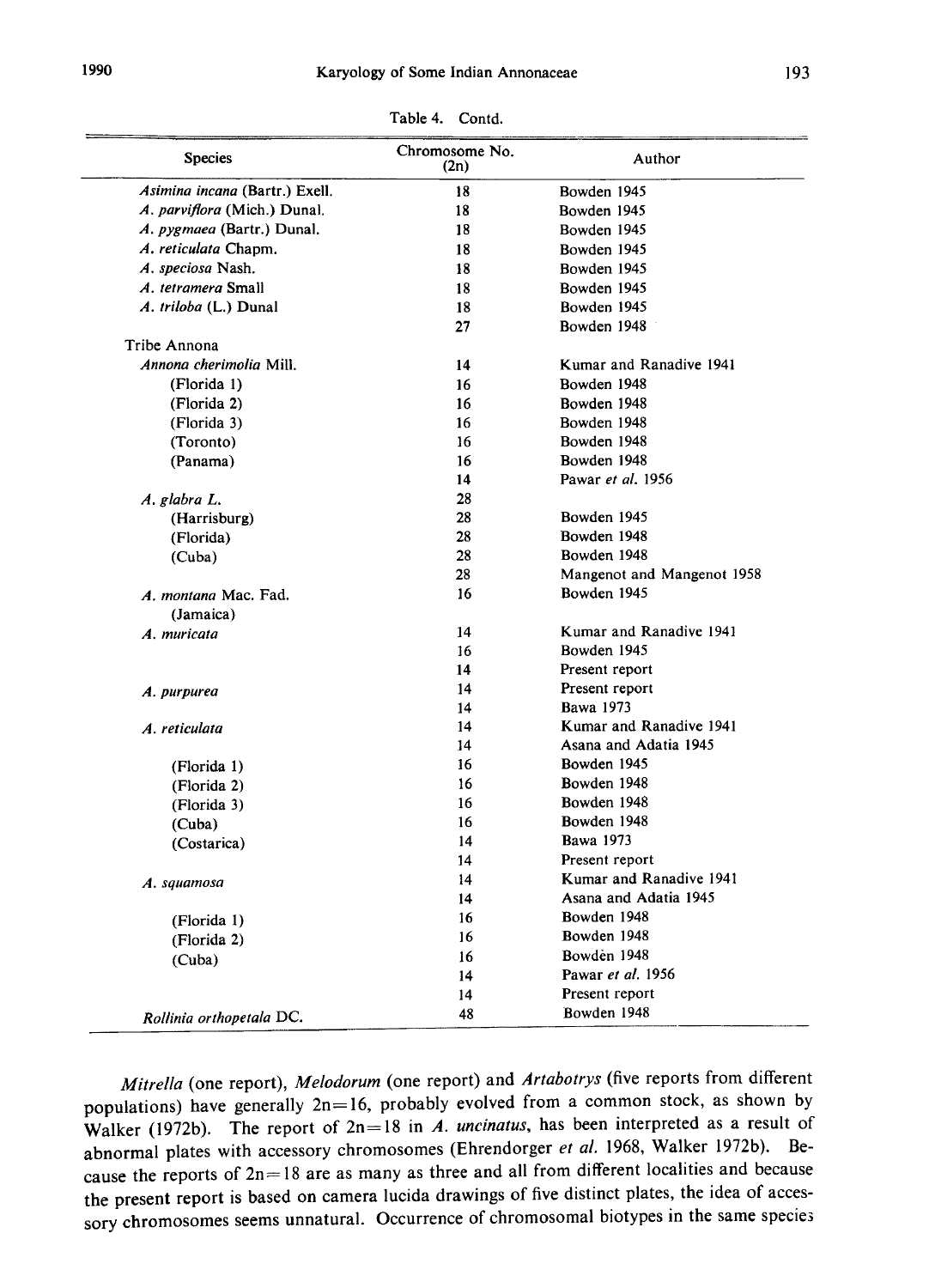| <b>Species</b>                 | Chromosome No.<br>(2n) | Author                     |
|--------------------------------|------------------------|----------------------------|
| Asimina incana (Bartr.) Exell. | 18                     | Bowden 1945                |
| A. parviflora (Mich.) Dunal.   | 18                     | Bowden 1945                |
| A. pygmaea (Bartr.) Dunal.     | 18                     | Bowden 1945                |
| A. reticulata Chapm.           | 18                     | Bowden 1945                |
| A. speciosa Nash.              | 18                     | Bowden 1945                |
| A. tetramera Small             | 18                     | Bowden 1945                |
| A. triloba (L.) Dunal          | 18                     | Bowden 1945                |
|                                | 27                     | Bowden 1948                |
| Tribe Annona                   |                        |                            |
| Annona cherimolia Mill.        | 14                     | Kumar and Ranadive 1941    |
| (Florida 1)                    | 16                     | Bowden 1948                |
| (Florida 2)                    | 16                     | Bowden 1948                |
| (Florida 3)                    | 16                     | Bowden 1948                |
| (Toronto)                      | 16                     | Bowden 1948                |
| (Panama)                       | 16                     | Bowden 1948                |
|                                | 14                     | Pawar et al. 1956          |
| A. glabra L.                   | 28                     |                            |
| (Harrisburg)                   | 28                     | Bowden 1945                |
| (Florida)                      | 28                     | Bowden 1948                |
| (Cuba)                         | 28                     | Bowden 1948                |
|                                | 28                     | Mangenot and Mangenot 1958 |
| A. montana Mac. Fad.           | 16                     | Bowden 1945                |
| (Jamaica)                      |                        |                            |
| A. muricata                    | 14                     | Kumar and Ranadive 1941    |
|                                | 16                     | Bowden 1945                |
|                                | 14                     | Present report             |
| A. purpurea                    | 14                     | Present report             |
|                                | 14                     | <b>Bawa</b> 1973           |
| A. reticulata                  | 14                     | Kumar and Ranadive 1941    |
|                                | 14                     | Asana and Adatia 1945      |
| (Florida 1)                    | 16                     | Bowden 1945                |
| (Florida 2)                    | 16                     | Bowden 1948                |
| (Florida 3)                    | 16                     | Bowden 1948                |
| (Cuba)                         | 16                     | Bowden 1948                |
| (Costarica)                    | 14                     | Bawa 1973                  |
|                                | 14                     | Present report             |
| A. squamosa                    | 14                     | Kumar and Ranadive 1941    |
|                                | 14                     | Asana and Adatia 1945      |
| (Florida 1)                    | 16                     | Bowden 1948                |
| (Florida 2)                    | 16                     | Bowden 1948                |
| (Cuba)                         | 16                     | Bowden 1948                |
|                                | 14                     | Pawar et al. 1956          |
|                                | 14                     | Present report             |
| Rollinia orthopetala DC.       | 48                     | Bowden 1948                |

Table 4. Contd.

Mitrella (one report), Melodorum (one report) and Artabotrys (five reports from different populations) have generally  $2n=16$ , probably evolved from a common stock, as shown by Walker (1972b). The report of  $2n=18$  in A. uncinatus, has been interpreted as a result of abnormal plates with accessory chromosomes (Ehrendorger et al. 1968, Walker 1972b). Be cause the reports of  $2n=18$  are as many as three and all from different localities and because the present report is based on camera lucida drawings of five distinct plates, the idea of acces sory chromosomes seems unnatural. Occurrence of chromosomal biotypes in the same specie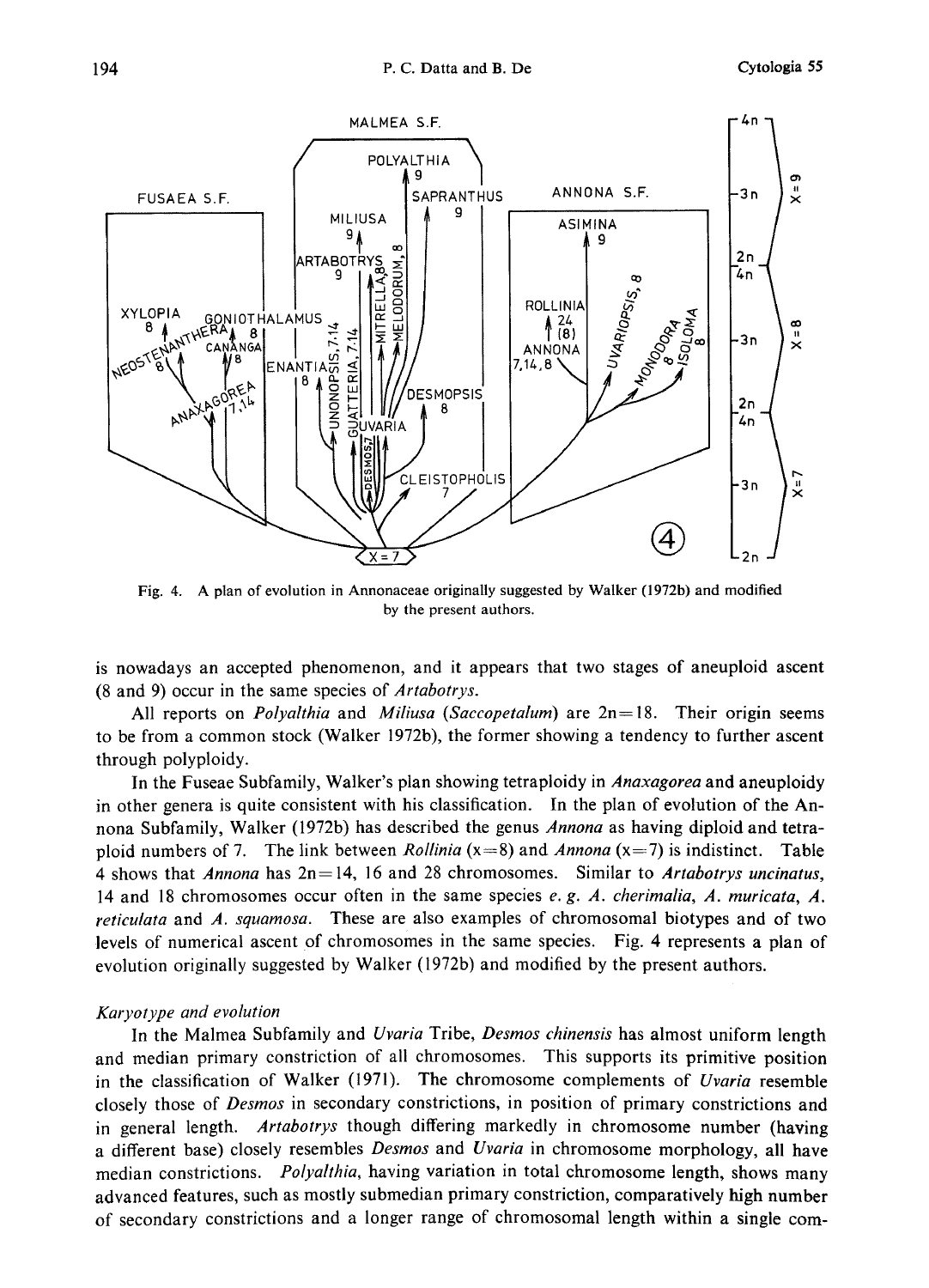

Fig. 4. A plan of evolution in Annonaceae originally suggested by Walker (1972b) and modified by the present authors.

is nowadays an accepted phenomenon, and it appears that two stages of aneuploid ascent (8 and 9) occur in the same species of Artabotrys.

All reports on *Polyalthia* and *Miliusa (Saccopetalum)* are  $2n = 18$ . Their origin seems to be from a common stock (Walker 1972b), the former showing a tendency to further ascent through polyploidy.

In the Fuseae Subfamily, Walker's plan showing tetraploidy in *Anaxagorea* and aneuploidy in other genera is quite consistent with his classification. In the plan of evolution of the Annona Subfamily, Walker (1972b) has described the genus Annona as having diploid and tetraploid numbers of 7. The link between *Rollinia* ( $x=8$ ) and *Annona* ( $x=7$ ) is indistinct. Table 4 shows that Annona has  $2n=14$ , 16 and 28 chromosomes. Similar to Artabotrys uncinatus, 14 and 18 chromosomes occur often in the same species e. g. A. cherimalia, A. muricata, A. reticulata and A. squamosa. These are also examples of chromosomal biotypes and of two levels of numerical ascent of chromosomes in the same species. Fig. 4 represents a plan of evolution originally suggested by Walker (1972b) and modified by the present authors.

# Karyotype and evolution

In the Malmea Subfamily and Uvaria Tribe, Desmos chinensis has almost uniform length and median primary constriction of all chromosomes. This supports its primitive position in the classification of Walker  $(1971)$ . The chromosome complements of *Uvaria* resemble closely those of Desmos in secondary constrictions, in position of primary constrictions and in general length. Artabotrys though differing markedly in chromosome number (having a different base) closely resembles *Desmos* and Uvaria in chromosome morphology, all have median constrictions. Polyalthia, having variation in total chromosome length, shows many advanced features, such as mostly submedian primary constriction, comparatively high number of secondary constrictions and a longer range of chromosomal length within a single com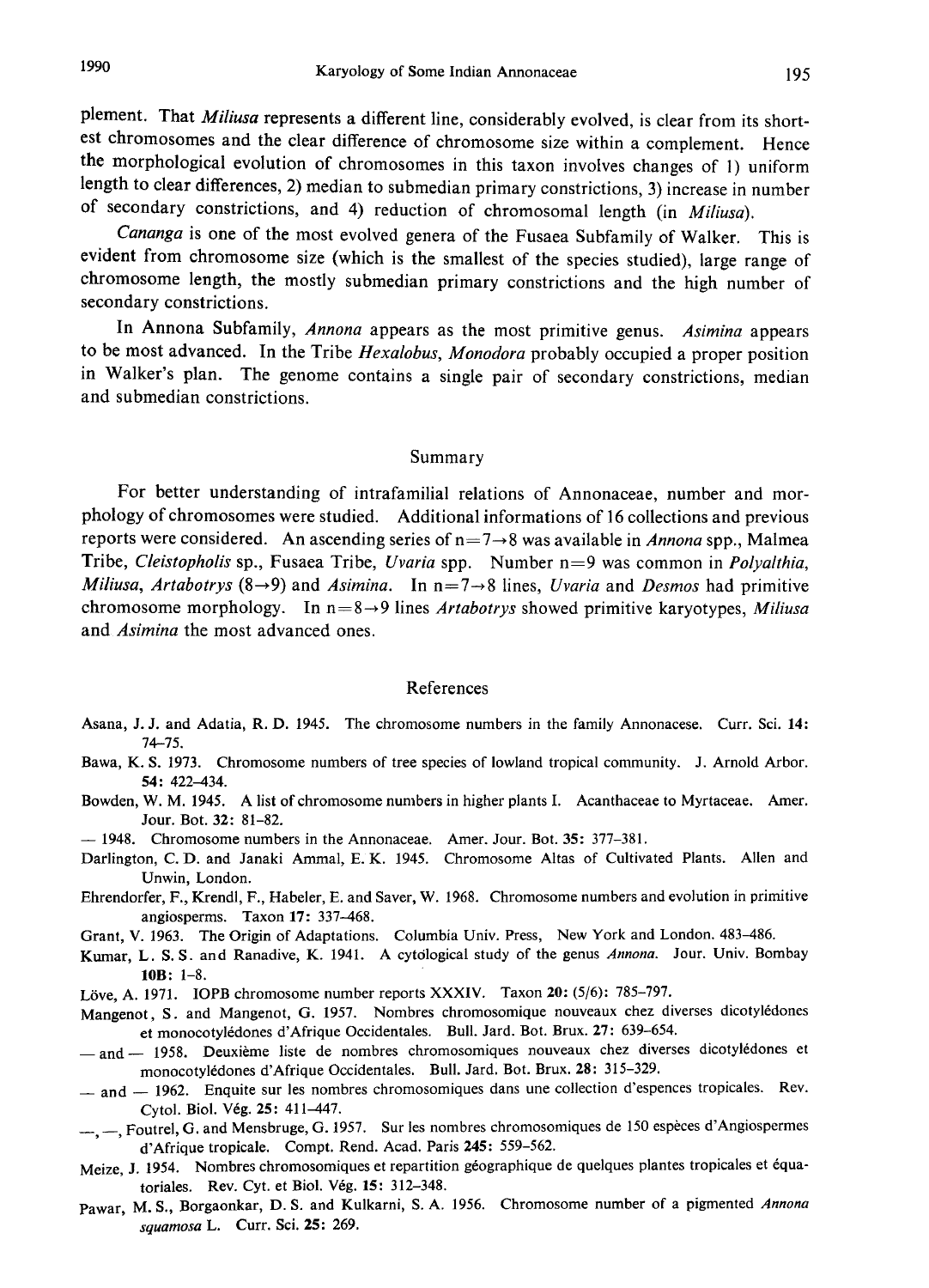plement. That Miliusa represents a different line, considerably evolved, is clear from its shortest chromosomes and the clear difference of chromosome size within a complement. Hence the morphological evolution of chromosomes in this taxon involves changes of 1) uniform length to clear differences, 2) median to submedian primary constrictions, 3) increase in number of secondary constrictions, and 4) reduction of chromosomal length (in Miliusa).

Cananga is one of the most evolved genera of the Fusaea Subfamily of Walker. This is evident from chromosome size (which is the smallest of the species studied) , large range of chromosome length, the mostly submedian primary constrictions and the high number of secondary constrictions.

In Annona Subfamily, Annona appears as the most primitive genus. Asimina appears to be most advanced. In the Tribe Hexalobus, Monodora probably occupied a proper position in Walker's plan. The genome contains a single pair of secondary constrictions , median and submedian constrictions.

#### Summary

For better understanding of intrafamilial relations of Annonaceae, number and mor phology of chromosomes were studied. Additional informations of 16 collections and previous reports were considered. An ascending series of  $n=7\rightarrow 8$  was available in Annona spp., Malmea Tribe, Cleistopholis sp., Fusaea Tribe, Uvaria spp. Number  $n=9$  was common in Polyalthia, Miliusa, Artabotrys (8 $\rightarrow$ 9) and Asimina. In n=7 $\rightarrow$ 8 lines, Uvaria and Desmos had primitive chromosome morphology. In  $n=8\rightarrow 9$  lines *Artabotrys* showed primitive karyotypes, *Miliusa* and Asimina the most advanced ones.

#### References

- Asana, J. J. and Adatia, R. D. 1945. The chromosome numbers in the family Annonacese. Curr. Sci. 14: 74-75.
- Bawa, K. S. 1973. Chromosome numbers of tree species of lowland tropical community. J. Arnold Arbor. 54: 422-434.
- Bowden, W. M. 1945. A list of chromosome numbers in higher plants I. Acanthaceae to Myrtaceae. Amer. Jour. Bot. 32: 81-82.
- 1948. Chromosome numbers in the Annonaceae. Amer. Jour. Bot. 35: 377-381.
- Darlington, C. D. and Janaki Ammal, E. K. 1945. Chromosome Altas of Cultivated Plants. Allen and Unwin, London.
- Ehrendorfer, F., Krendl, F., Habeler, E. and Saver, W. 1968. Chromosome numbers and evolution in primitive angiosperms. Taxon 17: 337-468.
- Grant, V. 1963. The Origin of Adaptations. Columbia Univ. Press, New York and London. 483-486.
- Kumar, L. S. S. and Ranadive, K. 1941. A cytological study of the genus Annona. Jour. Univ. Bombay 10B: 1-8.
- Löve, A. 1971. IOPB chromosome number reports XXXIV. Taxon 20: (5/6): 785-797.
- Mangenot, S. and Mangenot, G. 1957. Nombres chromosomique nouveaux chez diverses dicotyledones et monocotyledones d'Afrique Occidentales. Bull. Jard. Bot. Brux. 27: 639-654.
- and 1958. Deuxième liste de nombres chromosomiques nouveaux chez diverses dicotylédones et monocotyledones d'Afrique Occidentales. Bull. Jard. Bot. Brux. 28: 315-329.
- $-$  and  $-$  1962. Enquite sur les nombres chromosomiques dans une collection d'espences tropicales. Rev. Cytol. Biol. Veg. 25: 411-447.
- <sub>-,</sub> Foutrel, G. and Mensbruge, G. 1957. Sur les nombres chromosomiques de 150 espèces d'Angiospermes d'Afrique tropicale. Compt. Rend. Acad. Paris 245: 559-562.
- Meize, J. 1954. Nombres chromosomiques et repartition géographique de quelques plantes tropicales et équatoriales. Rev. Cyt. et Biol. Vég. 15: 312-348.
- Pawar, M. S., Borgaonkar, D. S. and Kulkarni, S. A. 1956. Chromosome number of a pigmented Annona squamosa L. Curr. Sci. 25: 269.